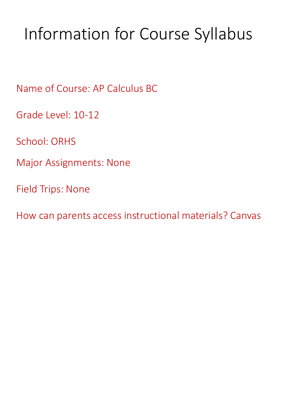# Information for Course Syllabus

Name of Course: AP Calculus BC

Grade Level: 10-12

School: ORHS

Major Assignments: None

Field Trips: None

How can parents access instructional materials? Canvas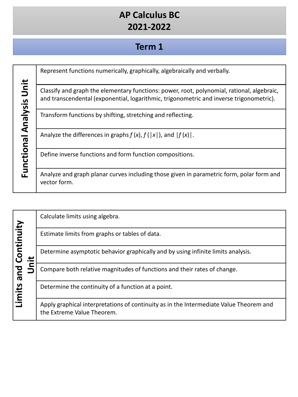# **Term 1**

|                          | Represent functions numerically, graphically, algebraically and verbally.                                                                                                             |
|--------------------------|---------------------------------------------------------------------------------------------------------------------------------------------------------------------------------------|
| Functional Analysis Unit | Classify and graph the elementary functions: power, root, polynomial, rational, algebraic,<br>and transcendental (exponential, logarithmic, trigonometric and inverse trigonometric). |
|                          | Transform functions by shifting, stretching and reflecting.                                                                                                                           |
|                          | Analyze the differences in graphs $f(x)$ , $f( x )$ , and $ f(x) $ .                                                                                                                  |
|                          | Define inverse functions and form function compositions.                                                                                                                              |
|                          | Analyze and graph planar curves including those given in parametric form, polar form and<br>vector form.                                                                              |

|                   | Calculate limits using algebra.                                                                                      |
|-------------------|----------------------------------------------------------------------------------------------------------------------|
| Continuity<br>and | Estimate limits from graphs or tables of data.                                                                       |
|                   | Determine asymptotic behavior graphically and by using infinite limits analysis.                                     |
|                   | Compare both relative magnitudes of functions and their rates of change.                                             |
| Limits            | Determine the continuity of a function at a point.                                                                   |
|                   | Apply graphical interpretations of continuity as in the Intermediate Value Theorem and<br>the Extreme Value Theorem. |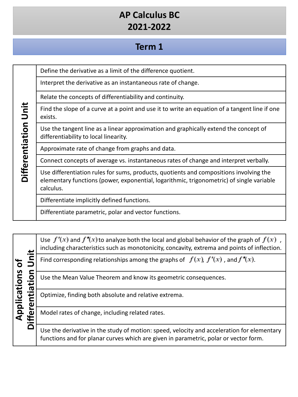### **Term 1**

Define the derivative as a limit of the difference quotient.

Interpret the derivative as an instantaneous rate of change.

Relate the concepts of differentiability and continuity.

Find the slope of a curve at a point and use it to write an equation of a tangent line if one exists.

Use the tangent line as a linear approximation and graphically extend the concept of differentiability to local linearity.

Approximate rate of change from graphs and data.

Connect concepts of average vs. instantaneous rates of change and interpret verbally.

Use differentiation rules for sums, products, quotients and compositions involving the elementary functions (power, exponential, logarithmic, trigonometric) of single variable calculus.

Differentiate implicitly defined functions.

**Differentiation Unit**

Differentiation Unit

Differentiate parametric, polar and vector functions.

| Applications<br>O<br>ത<br>ω<br>٩£ |        | Use $f'(x)$ and $f''(x)$ to analyze both the local and global behavior of the graph of $f(x)$ ,<br>including characteristics such as monotonicity, concavity, extrema and points of inflection. |
|-----------------------------------|--------|-------------------------------------------------------------------------------------------------------------------------------------------------------------------------------------------------|
|                                   |        | Find corresponding relationships among the graphs of $f(x)$ , $f'(x)$ , and $f''(x)$ .                                                                                                          |
|                                   | ゙゙゙゙゠゙ | Use the Mean Value Theorem and know its geometric consequences.                                                                                                                                 |
|                                   |        | Optimize, finding both absolute and relative extrema.                                                                                                                                           |
|                                   |        | Model rates of change, including related rates.                                                                                                                                                 |
|                                   |        | Use the derivative in the study of motion: speed, velocity and acceleration for elementary<br>functions and for planar curves which are given in parametric, polar or vector form.              |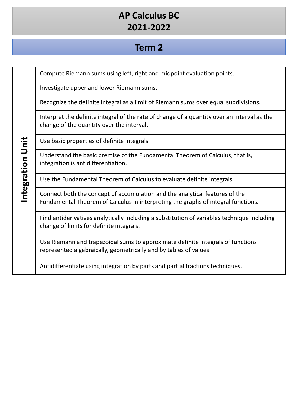### **Term 2**

Compute Riemann sums using left, right and midpoint evaluation points.

Investigate upper and lower Riemann sums.

Recognize the definite integral as a limit of Riemann sums over equal subdivisions.

Interpret the definite integral of the rate of change of a quantity over an interval as the change of the quantity over the interval.

Use basic properties of definite integrals.

Understand the basic premise of the Fundamental Theorem of Calculus, that is, integration is antidifferentiation.

Use the Fundamental Theorem of Calculus to evaluate definite integrals.

Connect both the concept of accumulation and the analytical features of the Fundamental Theorem of Calculus in interpreting the graphs of integral functions.

Find antiderivatives analytically including a substitution of variables technique including change of limits for definite integrals.

Use Riemann and trapezoidal sums to approximate definite integrals of functions represented algebraically, geometrically and by tables of values.

Antidifferentiate using integration by parts and partial fractions techniques.

# Integration Unit **Integration Unit**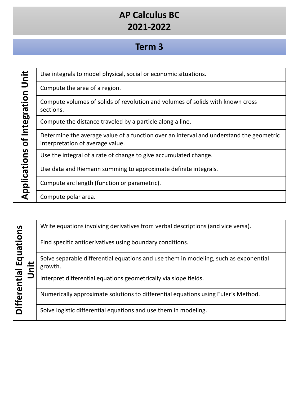### **Term 3**

| j                                             |
|-----------------------------------------------|
|                                               |
| $\frac{1}{2}$                                 |
|                                               |
|                                               |
| ֖֦֦֧֦֧֦֧֦֧֦֧֦֧֦֧֦֧֦֧֦֧֦֧֦֧֦֧֦֧֦֧֦֧֦֧֦֧֚֚֚֚֚֬֝ |
| Σ                                             |
| $\frac{d}{dt}$                                |
|                                               |
|                                               |
|                                               |
|                                               |
|                                               |
| $+$                                           |
| $\frac{c}{2}$                                 |
|                                               |
|                                               |
|                                               |
| i                                             |
|                                               |
|                                               |
| Ľ                                             |
|                                               |
|                                               |
|                                               |
|                                               |
|                                               |

Use integrals to model physical, social or economic situations.

Compute the area of a region.

Compute volumes of solids of revolution and volumes of solids with known cross sections.

Compute the distance traveled by a particle along a line.

Determine the average value of a function over an interval and understand the geometric interpretation of average value.

Use the integral of a rate of change to give accumulated change.

Use data and Riemann summing to approximate definite integrals.

Compute arc length (function or parametric).

Compute polar area.

| Equations<br>$\pm$<br>Differential I<br>Uni |                                                          | Write equations involving derivatives from verbal descriptions (and vice versa).                |
|---------------------------------------------|----------------------------------------------------------|-------------------------------------------------------------------------------------------------|
|                                             | Find specific antiderivatives using boundary conditions. |                                                                                                 |
|                                             |                                                          | Solve separable differential equations and use them in modeling, such as exponential<br>growth. |
|                                             |                                                          | Interpret differential equations geometrically via slope fields.                                |
|                                             |                                                          | Numerically approximate solutions to differential equations using Euler's Method.               |
|                                             |                                                          | Solve logistic differential equations and use them in modeling.                                 |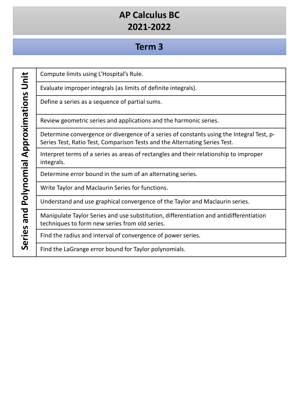### **Term 3**

Series and Polynomial Approximations Unit **Series and Polynomial Approximations Unit** Compute limits using L'Hospital's Rule.

Evaluate improper integrals (as limits of definite integrals).

Define a series as a sequence of partial sums.

Review geometric series and applications and the harmonic series.

Determine convergence or divergence of a series of constants using the Integral Test, p-Series Test, Ratio Test, Comparison Tests and the Alternating Series Test.

Interpret terms of a series as areas of rectangles and their relationship to improper integrals.

Determine error bound in the sum of an alternating series.

Write Taylor and Maclaurin Series for functions.

Understand and use graphical convergence of the Taylor and Maclaurin series.

Manipulate Taylor Series and use substitution, differentiation and antidifferentiation techniques to form new series from old series.

Find the radius and interval of convergence of power series.

Find the LaGrange error bound for Taylor polynomials.